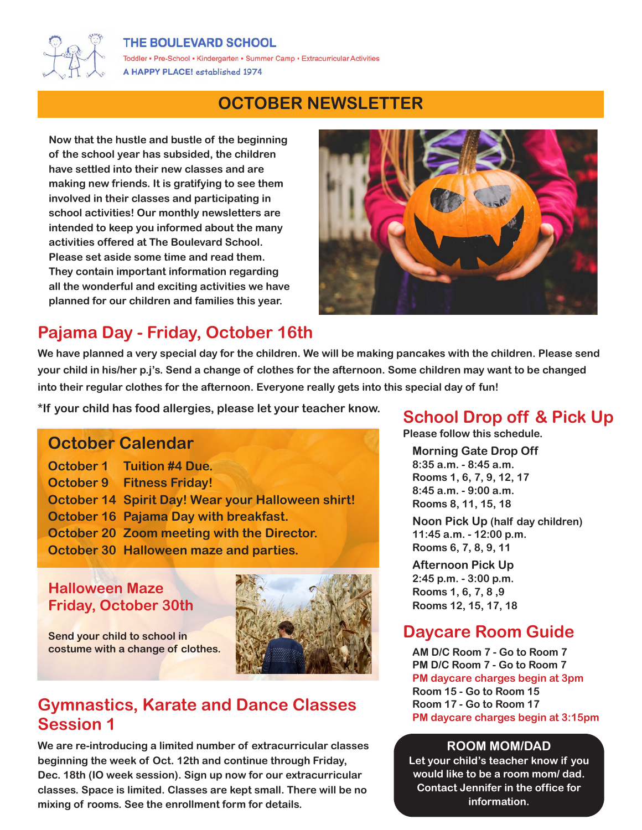#### THE BOULEVARD SCHOOL



Toddler • Pre-School • Kindergarten • Summer Camp • Extracurricular Activities A HAPPY PLACE! established 1974

# **OCTOBER NEWSLETTER**

**Now that the hustle and bustle of the beginning of the school year has subsided, the children have settled into their new classes and are making new friends. It is gratifying to see them involved in their classes and participating in school activities! Our monthly newsletters are intended to keep you informed about the many activities offered at The Boulevard School. Please set aside some time and read them. They contain important information regarding all the wonderful and exciting activities we have planned for our children and families this year.**



# **Pajama Day - Friday, October 16th**

**We have planned a very special day for the children. We will be making pancakes with the children. Please send your child in his/her p.j's. Send a change of clothes for the afternoon. Some children may want to be changed into their regular clothes for the afternoon. Everyone really gets into this special day of fun!**

**\*If your child has food allergies, please let your teacher know. School Drop off & Pick Up**

### **October Calendar**

| <b>October 1 Tuition #4 Due.</b>                  |
|---------------------------------------------------|
| <b>October 9 Fitness Friday!</b>                  |
| October 14 Spirit Day! Wear your Halloween shirt! |
| October 16 Pajama Day with breakfast.             |
| October 20 Zoom meeting with the Director.        |
| October 30 Halloween maze and parties.            |

#### **Halloween Maze Friday, October 30th**



**Send your child to school in costume with a change of clothes.**

# **Gymnastics, Karate and Dance Classes Session 1**

**We are re-introducing a limited number of extracurricular classes beginning the week of Oct. 12th and continue through Friday, Dec. 18th (IO week session). Sign up now for our extracurricular classes. Space is limited. Classes are kept small. There will be no mixing of rooms. See the enrollment form for details.**

**Please follow this schedule.**

**Morning Gate Drop Off**

**8:35 a.m. - 8:45 a.m. Rooms 1, 6, 7, 9, 12, 17 8:45 a.m. - 9:00 a.m. Rooms 8, 11, 15, 18**

**Noon Pick Up (half day children) 11:45 a.m. - 12:00 p.m. Rooms 6, 7, 8, 9, 11**

**Afternoon Pick Up 2:45 p.m. - 3:00 p.m. Rooms 1, 6, 7, 8 ,9 Rooms 12, 15, 17, 18**

# **Daycare Room Guide**

**AM D/C Room 7 - Go to Room 7 PM D/C Room 7 - Go to Room 7 PM daycare charges begin at 3pm Room 15 - Go to Room 15 Room 17 - Go to Room 17 PM daycare charges begin at 3:15pm**

#### **ROOM MOM/DAD**

**Let your child's teacher know if you would like to be a room mom/ dad. Contact Jennifer in the office for information.**